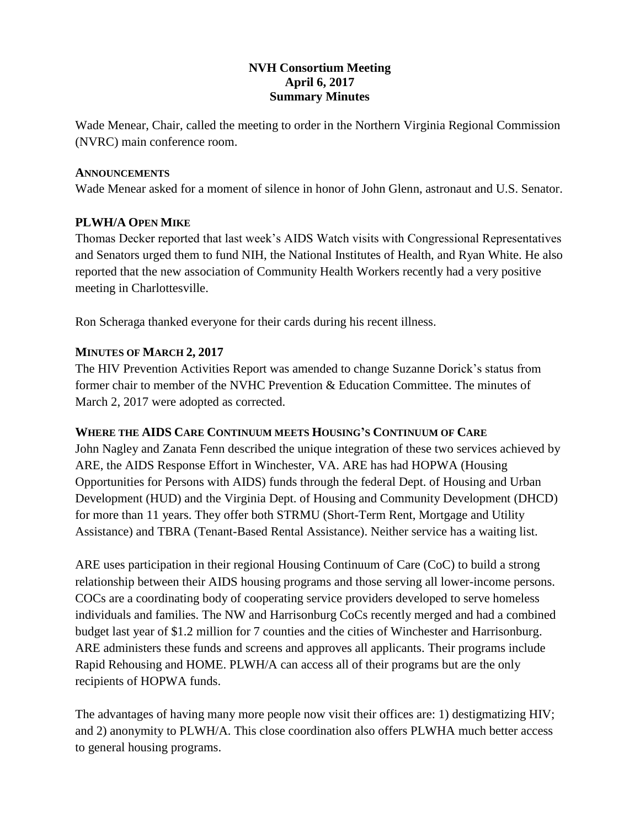# **NVH Consortium Meeting April 6, 2017 Summary Minutes**

Wade Menear, Chair, called the meeting to order in the Northern Virginia Regional Commission (NVRC) main conference room.

## **ANNOUNCEMENTS**

Wade Menear asked for a moment of silence in honor of John Glenn, astronaut and U.S. Senator.

# **PLWH/A OPEN MIKE**

Thomas Decker reported that last week's AIDS Watch visits with Congressional Representatives and Senators urged them to fund NIH, the National Institutes of Health, and Ryan White. He also reported that the new association of Community Health Workers recently had a very positive meeting in Charlottesville.

Ron Scheraga thanked everyone for their cards during his recent illness.

# **MINUTES OF MARCH 2, 2017**

The HIV Prevention Activities Report was amended to change Suzanne Dorick's status from former chair to member of the NVHC Prevention & Education Committee. The minutes of March 2, 2017 were adopted as corrected.

# **WHERE THE AIDS CARE CONTINUUM MEETS HOUSING'S CONTINUUM OF CARE**

John Nagley and Zanata Fenn described the unique integration of these two services achieved by ARE, the AIDS Response Effort in Winchester, VA. ARE has had HOPWA (Housing Opportunities for Persons with AIDS) funds through the federal Dept. of Housing and Urban Development (HUD) and the Virginia Dept. of Housing and Community Development (DHCD) for more than 11 years. They offer both STRMU (Short-Term Rent, Mortgage and Utility Assistance) and TBRA (Tenant-Based Rental Assistance). Neither service has a waiting list.

ARE uses participation in their regional Housing Continuum of Care (CoC) to build a strong relationship between their AIDS housing programs and those serving all lower-income persons. COCs are a coordinating body of cooperating service providers developed to serve homeless individuals and families. The NW and Harrisonburg CoCs recently merged and had a combined budget last year of \$1.2 million for 7 counties and the cities of Winchester and Harrisonburg. ARE administers these funds and screens and approves all applicants. Their programs include Rapid Rehousing and HOME. PLWH/A can access all of their programs but are the only recipients of HOPWA funds.

The advantages of having many more people now visit their offices are: 1) destigmatizing HIV; and 2) anonymity to PLWH/A. This close coordination also offers PLWHA much better access to general housing programs.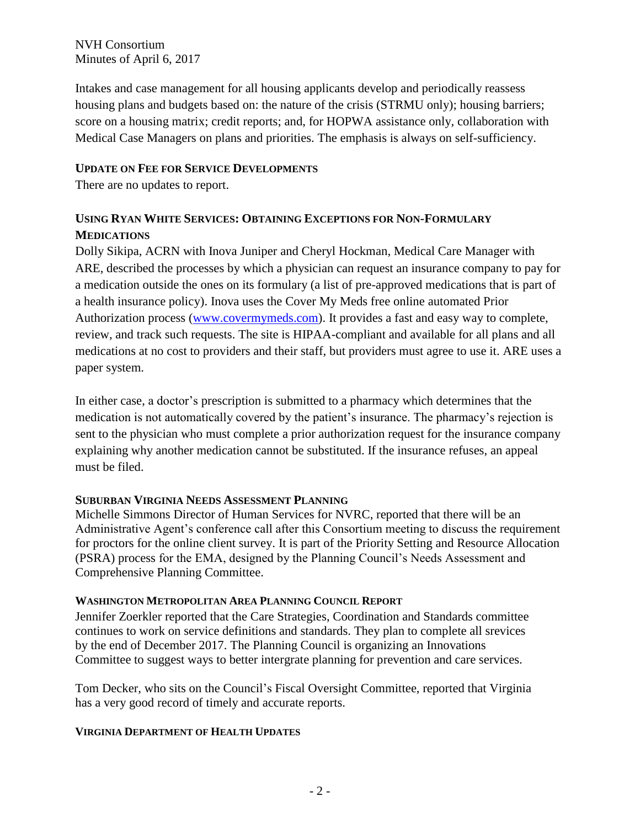NVH Consortium Minutes of April 6, 2017

Intakes and case management for all housing applicants develop and periodically reassess housing plans and budgets based on: the nature of the crisis (STRMU only); housing barriers; score on a housing matrix; credit reports; and, for HOPWA assistance only, collaboration with Medical Case Managers on plans and priorities. The emphasis is always on self-sufficiency.

## **UPDATE ON FEE FOR SERVICE DEVELOPMENTS**

There are no updates to report.

# **USING RYAN WHITE SERVICES: OBTAINING EXCEPTIONS FOR NON-FORMULARY MEDICATIONS**

Dolly Sikipa, ACRN with Inova Juniper and Cheryl Hockman, Medical Care Manager with ARE, described the processes by which a physician can request an insurance company to pay for a medication outside the ones on its formulary (a list of pre-approved medications that is part of a health insurance policy). Inova uses the Cover My Meds free online automated Prior Authorization process [\(www.covermymeds.com\)](http://www.covermymeds.com/). It provides a fast and easy way to complete, review, and track such requests. The site is HIPAA-compliant and available for all plans and all medications at no cost to providers and their staff, but providers must agree to use it. ARE uses a paper system.

In either case, a doctor's prescription is submitted to a pharmacy which determines that the medication is not automatically covered by the patient's insurance. The pharmacy's rejection is sent to the physician who must complete a prior authorization request for the insurance company explaining why another medication cannot be substituted. If the insurance refuses, an appeal must be filed.

# **SUBURBAN VIRGINIA NEEDS ASSESSMENT PLANNING**

Michelle Simmons Director of Human Services for NVRC, reported that there will be an Administrative Agent's conference call after this Consortium meeting to discuss the requirement for proctors for the online client survey. It is part of the Priority Setting and Resource Allocation (PSRA) process for the EMA, designed by the Planning Council's Needs Assessment and Comprehensive Planning Committee.

## **WASHINGTON METROPOLITAN AREA PLANNING COUNCIL REPORT**

Jennifer Zoerkler reported that the Care Strategies, Coordination and Standards committee continues to work on service definitions and standards. They plan to complete all srevices by the end of December 2017. The Planning Council is organizing an Innovations Committee to suggest ways to better intergrate planning for prevention and care services.

Tom Decker, who sits on the Council's Fiscal Oversight Committee, reported that Virginia has a very good record of timely and accurate reports.

## **VIRGINIA DEPARTMENT OF HEALTH UPDATES**